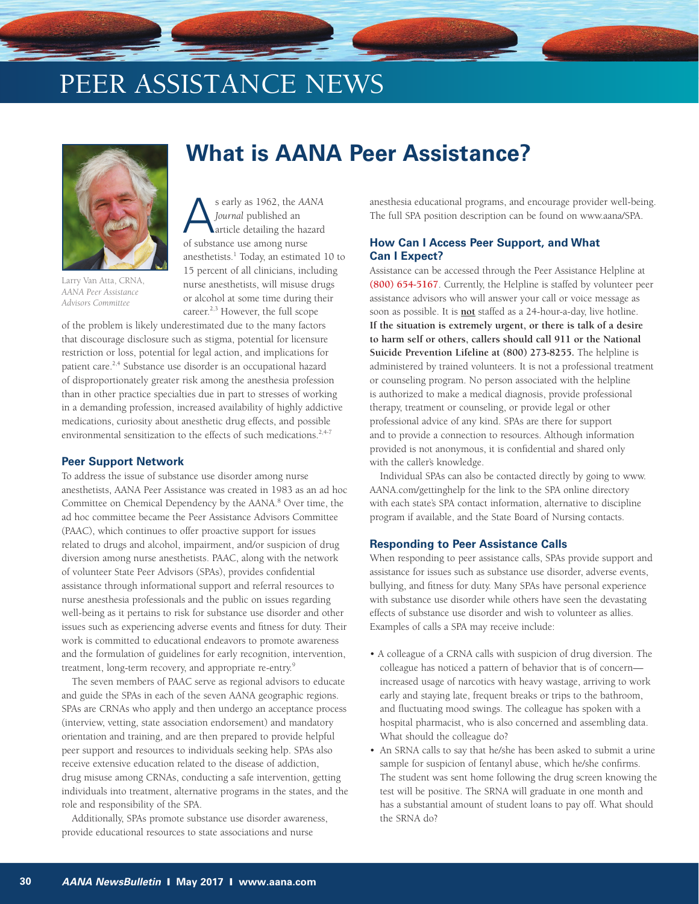# PEER ASSISTANCE NEWS



Larry Van Atta, CRNA, *AANA Peer Assistance Advisors Committee* 

## **What is AANA Peer Assistance?**

s early as 1962, the *AANA Journal* published an article detailing the hazard of substance use among nurse anesthetists.<sup>1</sup> Today, an estimated 10 to 15 percent of all clinicians, including nurse anesthetists, will misuse drugs or alcohol at some time during their career. $2,3$  However, the full scope

of the problem is likely underestimated due to the many factors that discourage disclosure such as stigma, potential for licensure restriction or loss, potential for legal action, and implications for patient care.<sup>2,4</sup> Substance use disorder is an occupational hazard of disproportionately greater risk among the anesthesia profession than in other practice specialties due in part to stresses of working in a demanding profession, increased availability of highly addictive medications, curiosity about anesthetic drug effects, and possible environmental sensitization to the effects of such medications.<sup>2,4-7</sup>

#### **Peer Support Network**

To address the issue of substance use disorder among nurse anesthetists, AANA Peer Assistance was created in 1983 as an ad hoc Committee on Chemical Dependency by the AANA.<sup>8</sup> Over time, the ad hoc committee became the Peer Assistance Advisors Committee (PAAC), which continues to offer proactive support for issues related to drugs and alcohol, impairment, and/or suspicion of drug diversion among nurse anesthetists. PAAC, along with the network of volunteer State Peer Advisors (SPAs), provides confidential assistance through informational support and referral resources to nurse anesthesia professionals and the public on issues regarding well-being as it pertains to risk for substance use disorder and other issues such as experiencing adverse events and fitness for duty. Their work is committed to educational endeavors to promote awareness and the formulation of guidelines for early recognition, intervention, treatment, long-term recovery, and appropriate re-entry.9

The seven members of PAAC serve as regional advisors to educate and guide the SPAs in each of the seven AANA geographic regions. SPAs are CRNAs who apply and then undergo an acceptance process (interview, vetting, state association endorsement) and mandatory orientation and training, and are then prepared to provide helpful peer support and resources to individuals seeking help. SPAs also receive extensive education related to the disease of addiction, drug misuse among CRNAs, conducting a safe intervention, getting individuals into treatment, alternative programs in the states, and the role and responsibility of the SPA.

Additionally, SPAs promote substance use disorder awareness, provide educational resources to state associations and nurse

anesthesia educational programs, and encourage provider well-being. The full SPA position description can be found on www.aana/SPA.

#### **How Can I Access Peer Support, and What Can I Expect?**

Assistance can be accessed through the Peer Assistance Helpline at **(800) 654-5167**. Currently, the Helpline is staffed by volunteer peer assistance advisors who will answer your call or voice message as soon as possible. It is **not** staffed as a 24-hour-a-day, live hotline. **If the situation is extremely urgent, or there is talk of a desire to harm self or others, callers should call 911 or the National Suicide Prevention Lifeline at (800) 273-8255.** The helpline is administered by trained volunteers. It is not a professional treatment or counseling program. No person associated with the helpline is authorized to make a medical diagnosis, provide professional therapy, treatment or counseling, or provide legal or other professional advice of any kind. SPAs are there for support and to provide a connection to resources. Although information provided is not anonymous, it is confidential and shared only with the caller's knowledge.

Individual SPAs can also be contacted directly by going to www. AANA.com/gettinghelp for the link to the SPA online directory with each state's SPA contact information, alternative to discipline program if available, and the State Board of Nursing contacts.

#### **Responding to Peer Assistance Calls**

When responding to peer assistance calls, SPAs provide support and assistance for issues such as substance use disorder, adverse events, bullying, and fitness for duty. Many SPAs have personal experience with substance use disorder while others have seen the devastating effects of substance use disorder and wish to volunteer as allies. Examples of calls a SPA may receive include:

- A colleague of a CRNA calls with suspicion of drug diversion. The colleague has noticed a pattern of behavior that is of concern increased usage of narcotics with heavy wastage, arriving to work early and staying late, frequent breaks or trips to the bathroom, and fluctuating mood swings. The colleague has spoken with a hospital pharmacist, who is also concerned and assembling data. What should the colleague do?
- An SRNA calls to say that he/she has been asked to submit a urine sample for suspicion of fentanyl abuse, which he/she confirms. The student was sent home following the drug screen knowing the test will be positive. The SRNA will graduate in one month and has a substantial amount of student loans to pay off. What should the SRNA do?